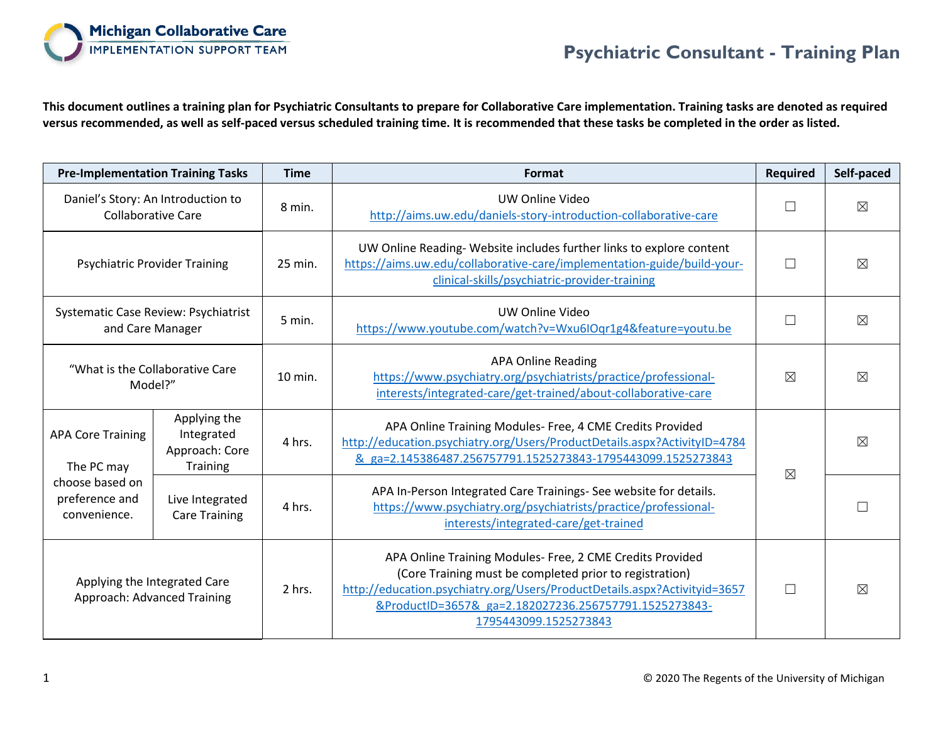

**This document outlines a training plan for Psychiatric Consultants to prepare for Collaborative Care implementation. Training tasks are denoted as required versus recommended, as well as self-paced versus scheduled training time. It is recommended that these tasks be completed in the order as listed.**

| <b>Pre-Implementation Training Tasks</b>                                                    |                                                                 | <b>Time</b> | Format                                                                                                                                                                                                                                                                              | <b>Required</b> | Self-paced  |
|---------------------------------------------------------------------------------------------|-----------------------------------------------------------------|-------------|-------------------------------------------------------------------------------------------------------------------------------------------------------------------------------------------------------------------------------------------------------------------------------------|-----------------|-------------|
| Daniel's Story: An Introduction to<br><b>Collaborative Care</b>                             |                                                                 | 8 min.      | UW Online Video<br>http://aims.uw.edu/daniels-story-introduction-collaborative-care                                                                                                                                                                                                 |                 | $\boxtimes$ |
| <b>Psychiatric Provider Training</b>                                                        |                                                                 | 25 min.     | UW Online Reading-Website includes further links to explore content<br>https://aims.uw.edu/collaborative-care/implementation-guide/build-your-<br>clinical-skills/psychiatric-provider-training                                                                                     | П               | $\boxtimes$ |
| Systematic Case Review: Psychiatrist<br>and Care Manager                                    |                                                                 | 5 min.      | UW Online Video<br>https://www.youtube.com/watch?v=Wxu6IOqr1g4&feature=youtu.be                                                                                                                                                                                                     | Г               | $\boxtimes$ |
| "What is the Collaborative Care"<br>Model?"                                                 |                                                                 | $10$ min.   | <b>APA Online Reading</b><br>https://www.psychiatry.org/psychiatrists/practice/professional-<br>interests/integrated-care/get-trained/about-collaborative-care                                                                                                                      | $\boxtimes$     | $\boxtimes$ |
| <b>APA Core Training</b><br>The PC may<br>choose based on<br>preference and<br>convenience. | Applying the<br>Integrated<br>Approach: Core<br><b>Training</b> | 4 hrs.      | APA Online Training Modules- Free, 4 CME Credits Provided<br>http://education.psychiatry.org/Users/ProductDetails.aspx?ActivityID=4784<br>& ga=2.145386487.256757791.1525273843-1795443099.1525273843                                                                               | $\boxtimes$     | $\boxtimes$ |
|                                                                                             | Live Integrated<br><b>Care Training</b>                         | 4 hrs.      | APA In-Person Integrated Care Trainings- See website for details.<br>https://www.psychiatry.org/psychiatrists/practice/professional-<br>interests/integrated-care/get-trained                                                                                                       |                 |             |
| Applying the Integrated Care<br><b>Approach: Advanced Training</b>                          |                                                                 | 2 hrs.      | APA Online Training Modules- Free, 2 CME Credits Provided<br>(Core Training must be completed prior to registration)<br>http://education.psychiatry.org/Users/ProductDetails.aspx?Activityid=3657<br>&ProductID=3657& ga=2.182027236.256757791.1525273843-<br>1795443099.1525273843 | П               | $\boxtimes$ |